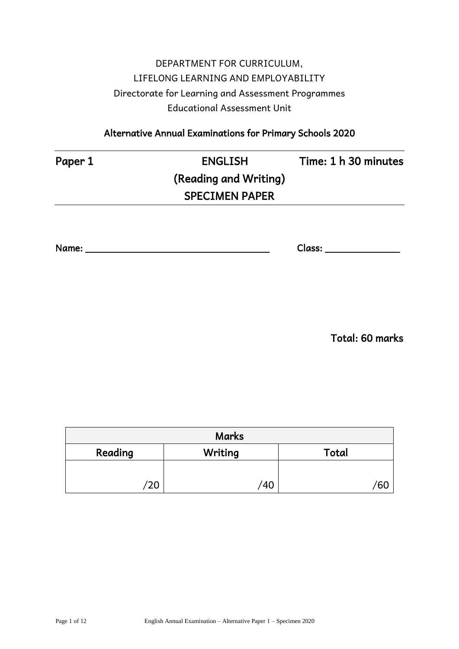# DEPARTMENT FOR CURRICULUM, LIFELONG LEARNING AND EMPLOYABILITY Directorate for Learning and Assessment Programmes Educational Assessment Unit

Alternative Annual Examinations for Primary Schools 2020

# Paper 1 **ENGLISH** Time: 1 h 30 minutes (Reading and Writing) SPECIMEN PAPER

Name: \_\_\_\_\_\_\_\_\_\_\_\_\_\_\_\_\_\_\_\_\_\_\_\_\_\_\_\_\_\_\_\_ Class: \_\_\_\_\_\_\_\_\_\_\_\_\_

Total: 60 marks

| <b>Marks</b> |         |       |  |  |
|--------------|---------|-------|--|--|
| Reading      | Writing | Total |  |  |
|              |         |       |  |  |
| 20'          | 40      | ы     |  |  |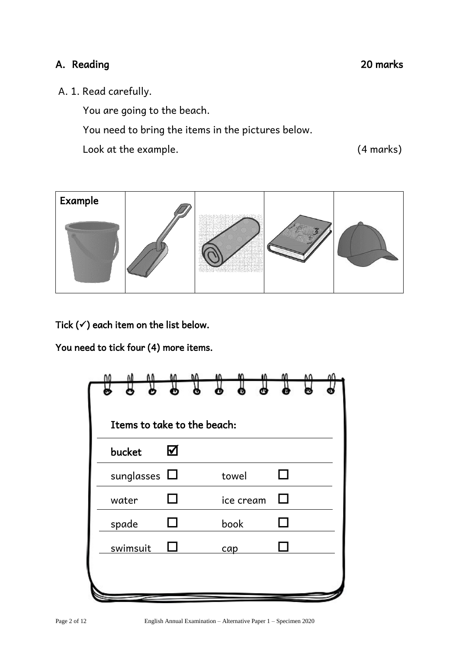### A. Reading 20 marks

A. 1. Read carefully.

You are going to the beach.

You need to bring the items in the pictures below.

Look at the example. (4 marks)



Tick  $($  $\checkmark$ ) each item on the list below.

You need to tick four (4) more items.

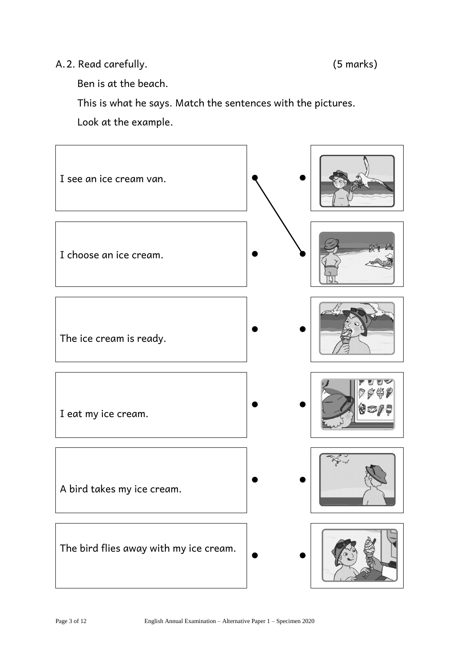#### A.2. Read carefully. (5 marks)

Ben is at the beach.

This is what he says. Match the sentences with the pictures.

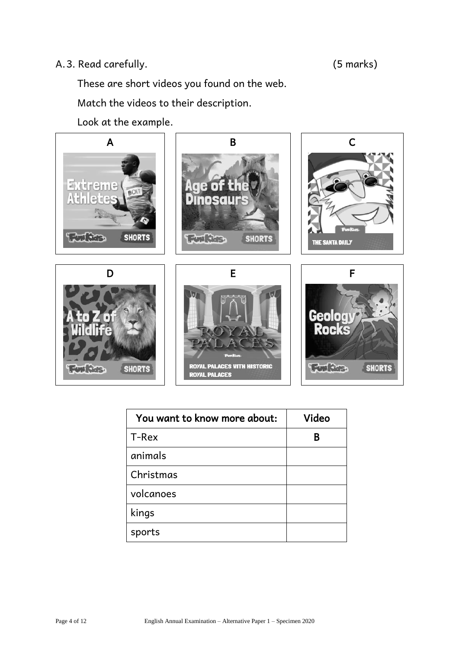### A.3. Read carefully. (5 marks)

These are short videos you found on the web.

Match the videos to their description.



| You want to know more about: | Video |
|------------------------------|-------|
| T-Rex                        | В     |
| animals                      |       |
| Christmas                    |       |
| volcanoes                    |       |
| kings                        |       |
| sports                       |       |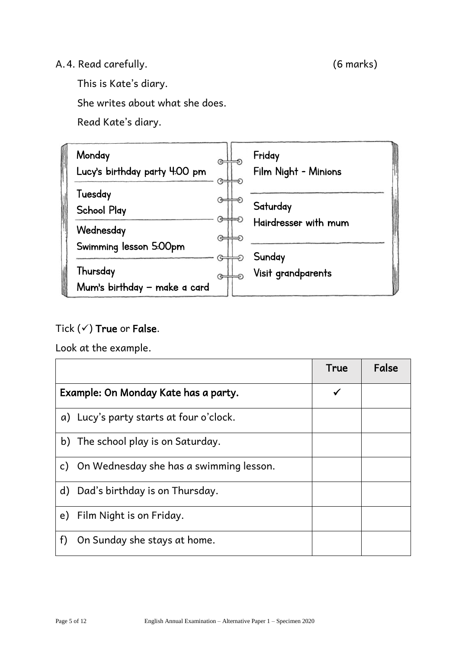### A.4. Read carefully. (6 marks)

This is Kate's diary.

She writes about what she does.

Read Kate's diary.



## Tick  $($  $\checkmark$ ) True or False.

|                                                         | True         | False |
|---------------------------------------------------------|--------------|-------|
| Example: On Monday Kate has a party.                    | $\checkmark$ |       |
| a) Lucy's party starts at four o'clock.                 |              |       |
| b) The school play is on Saturday.                      |              |       |
| On Wednesday she has a swimming lesson.<br>$\mathsf{C}$ |              |       |
| d) Dad's birthday is on Thursday.                       |              |       |
| e) Film Night is on Friday.                             |              |       |
| f<br>On Sunday she stays at home.                       |              |       |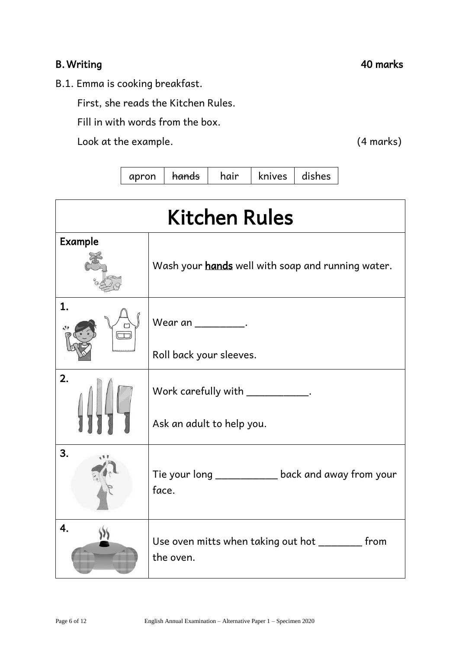### B. Writing 20 marks 20 marks 20 marks 20 marks 20 marks 20 marks 20 marks 20 marks 20 marks 20 marks 20 marks 20 marks 20 marks 20 marks 20 marks 20 marks 20 marks 20 marks 20 marks 20 marks 20 marks 20 marks 20 marks 20 m

B.1. Emma is cooking breakfast.

First, she reads the Kitchen Rules.

Fill in with words from the box.

Look at the example. (4 marks)

apron |  $h$ ands | hair | knives | dishes

| <b>Kitchen Rules</b> |                                                                |  |  |
|----------------------|----------------------------------------------------------------|--|--|
| <b>Example</b>       | Wash your hands well with soap and running water.              |  |  |
| 1.                   | Wear an $\frac{1}{2}$ .<br>Roll back your sleeves.             |  |  |
| 2.                   | Work carefully with ___________.<br>Ask an adult to help you.  |  |  |
| 3.                   | Tie your long ___________ back and away from your<br>face.     |  |  |
| 4.                   | Use oven mitts when taking out hot _________ from<br>the oven. |  |  |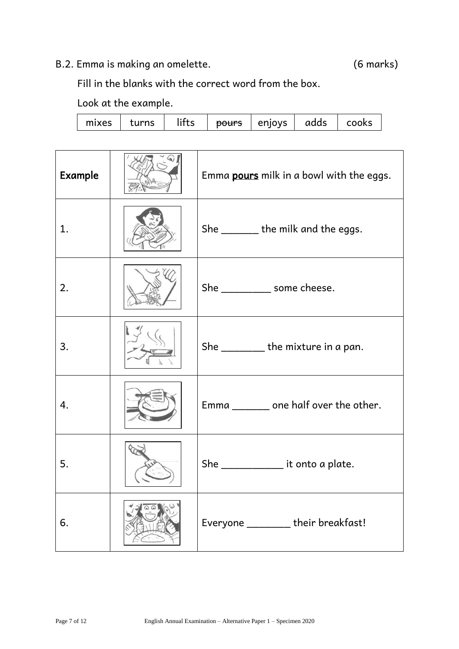# B.2. Emma is making an omelette. (6 marks)

Fill in the blanks with the correct word from the box.

| <b>Example</b> | Emma pours milk in a bowl with the eggs. |
|----------------|------------------------------------------|
| 1.             | She ________ the milk and the eggs.      |
| 2.             | She ____________ some cheese.            |
| 3.             | She _________ the mixture in a pan.      |
| 4.             | Emma ________ one half over the other.   |
| 5.             | She ________________ it onto a plate.    |
| 6.             | Everyone _______ their breakfast!        |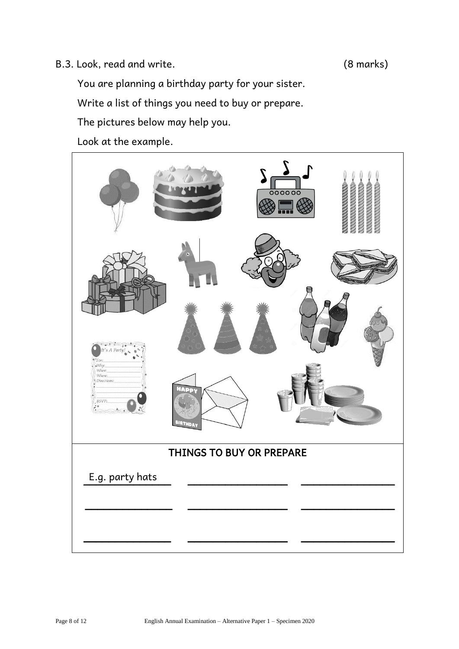#### B.3. Look, read and write. (8 marks)

You are planning a birthday party for your sister.

Write a list of things you need to buy or prepare.

The pictures below may help you.

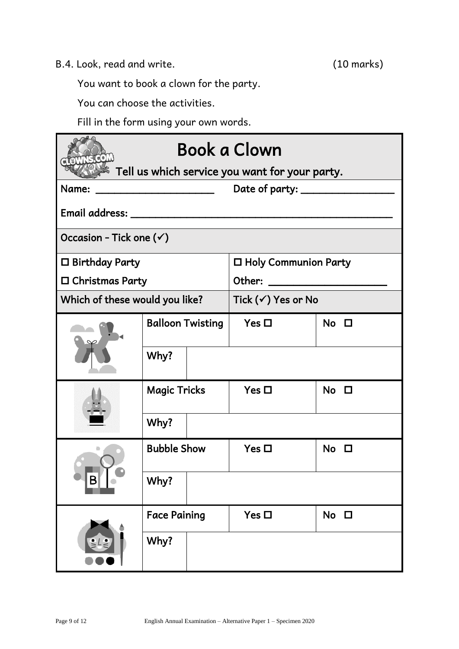B.4. Look, read and write. (10 marks)

You want to book a clown for the party.

You can choose the activities.

Fill in the form using your own words.

| Book a Clown                                                                                                                   |                         |                               |                                                |                |  |  |
|--------------------------------------------------------------------------------------------------------------------------------|-------------------------|-------------------------------|------------------------------------------------|----------------|--|--|
|                                                                                                                                |                         |                               | Tell us which service you want for your party. |                |  |  |
| Name:<br><u> La Carlo de la Carlo de la Carlo de la Carlo de la Carlo de la Carlo de la Carlo de la Carlo de la Carlo de l</u> |                         |                               | Date of party: _______________                 |                |  |  |
|                                                                                                                                |                         |                               |                                                |                |  |  |
| Occasion - Tick one $(\checkmark)$                                                                                             |                         |                               |                                                |                |  |  |
| $\square$ Birthday Party                                                                                                       |                         |                               | □ Holy Communion Party                         |                |  |  |
| $\square$ Christmas Party                                                                                                      |                         |                               |                                                |                |  |  |
| Which of these would you like?                                                                                                 |                         | Tick $(\checkmark)$ Yes or No |                                                |                |  |  |
|                                                                                                                                | <b>Balloon Twisting</b> |                               | Yes $\Box$                                     | $No$ $\square$ |  |  |
|                                                                                                                                | Why?                    |                               |                                                |                |  |  |
|                                                                                                                                | <b>Magic Tricks</b>     |                               | Yes $\Box$                                     | $No$ $\square$ |  |  |
|                                                                                                                                | Why?                    |                               |                                                |                |  |  |
| в                                                                                                                              | <b>Bubble Show</b>      |                               | Yes $\square$                                  | $No$ $\square$ |  |  |
|                                                                                                                                | Why?                    |                               |                                                |                |  |  |
|                                                                                                                                | <b>Face Paining</b>     |                               | Yes $\square$                                  | $No$ $\square$ |  |  |
|                                                                                                                                | Why?                    |                               |                                                |                |  |  |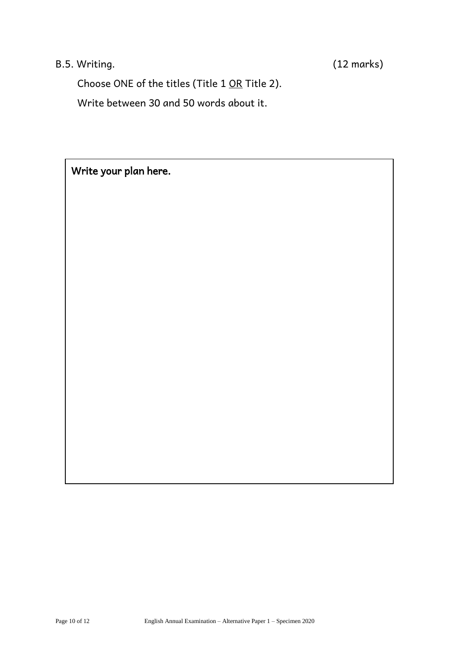# B.5. Writing. (12 marks)

Choose ONE of the titles (Title 1 OR Title 2).

Write between 30 and 50 words about it.

Write your plan here.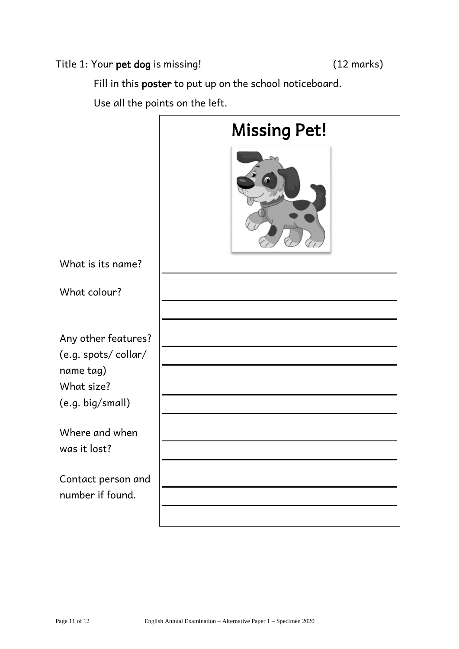### Title 1: Your pet dog is missing! (12 marks)

Fill in this poster to put up on the school noticeboard.

Use all the points on the left.